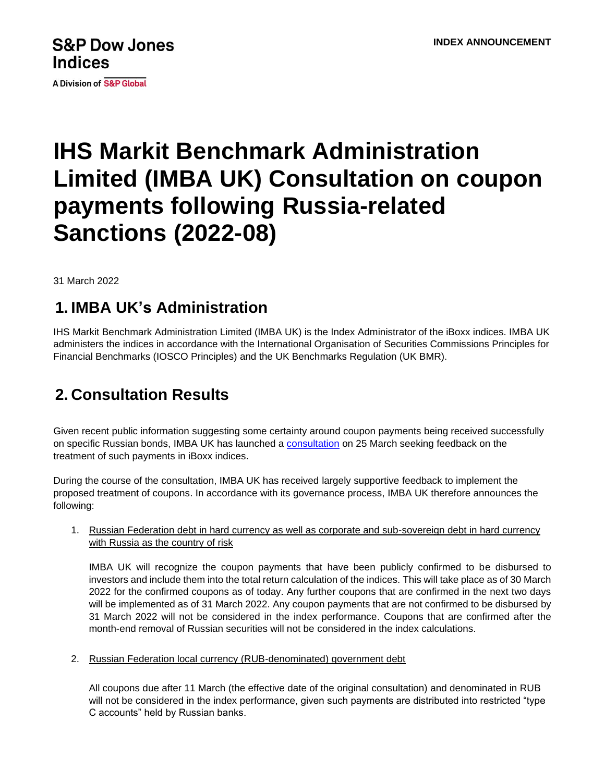# **S&P Dow Jones Indices**

**A Division of S&P Global** 

# **IHS Markit Benchmark Administration Limited (IMBA UK) Consultation on coupon payments following Russia-related Sanctions (2022-08)**

31 March 2022

### **1. IMBA UK's Administration**

IHS Markit Benchmark Administration Limited (IMBA UK) is the Index Administrator of the iBoxx indices. IMBA UK administers the indices in accordance with the International Organisation of Securities Commissions Principles for Financial Benchmarks (IOSCO Principles) and the UK Benchmarks Regulation (UK BMR).

# **2. Consultation Results**

Given recent public information suggesting some certainty around coupon payments being received successfully on specific Russian bonds, IMBA UK has launched a [consultation](http://www.markit.com/NewsInformation/GetLinkedNews/2532022IHS-Markit-Benchmark-Administration-Limited-IMBA-UK-Consultation-on-coupon-payments-following-Russia-related-Sanctions-2022-08-?Product=IBoxx) on 25 March seeking feedback on the treatment of such payments in iBoxx indices.

During the course of the consultation, IMBA UK has received largely supportive feedback to implement the proposed treatment of coupons. In accordance with its governance process, IMBA UK therefore announces the following:

1. Russian Federation debt in hard currency as well as corporate and sub-sovereign debt in hard currency with Russia as the country of risk

IMBA UK will recognize the coupon payments that have been publicly confirmed to be disbursed to investors and include them into the total return calculation of the indices. This will take place as of 30 March 2022 for the confirmed coupons as of today. Any further coupons that are confirmed in the next two days will be implemented as of 31 March 2022. Any coupon payments that are not confirmed to be disbursed by 31 March 2022 will not be considered in the index performance. Coupons that are confirmed after the month-end removal of Russian securities will not be considered in the index calculations.

2. Russian Federation local currency (RUB-denominated) government debt

All coupons due after 11 March (the effective date of the original consultation) and denominated in RUB will not be considered in the index performance, given such payments are distributed into restricted "type C accounts" held by Russian banks.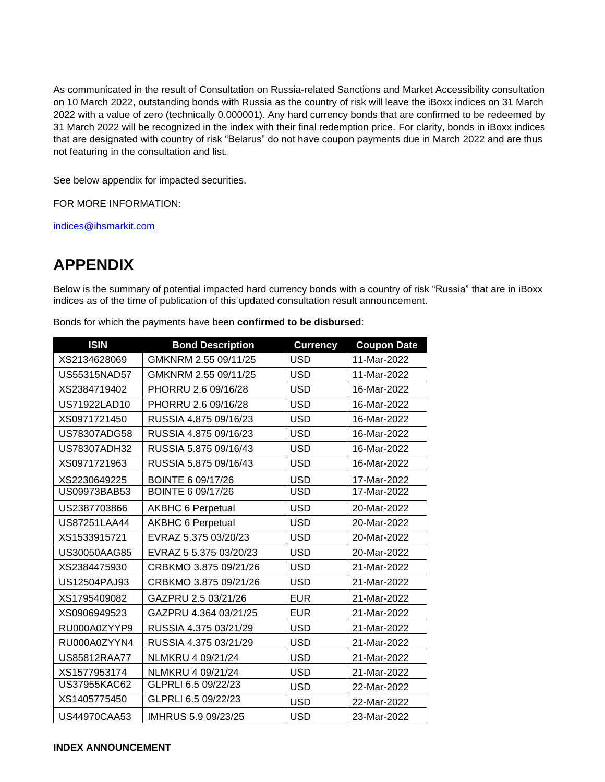As communicated in the result of Consultation on Russia-related Sanctions and Market Accessibility consultation on 10 March 2022, outstanding bonds with Russia as the country of risk will leave the iBoxx indices on 31 March 2022 with a value of zero (technically 0.000001). Any hard currency bonds that are confirmed to be redeemed by 31 March 2022 will be recognized in the index with their final redemption price. For clarity, bonds in iBoxx indices that are designated with country of risk "Belarus" do not have coupon payments due in March 2022 and are thus not featuring in the consultation and list.

See below appendix for impacted securities.

FOR MORE INFORMATION:

[indices@ihsmarkit.com](mailto:indices@ihsmarkit.com)

### **APPENDIX**

Below is the summary of potential impacted hard currency bonds with a country of risk "Russia" that are in iBoxx indices as of the time of publication of this updated consultation result announcement.

| Bonds for which the payments have been confirmed to be disbursed: |
|-------------------------------------------------------------------|
|-------------------------------------------------------------------|

| <b>ISIN</b>         | <b>Bond Description</b>  | <b>Currency</b> | <b>Coupon Date</b> |
|---------------------|--------------------------|-----------------|--------------------|
| XS2134628069        | GMKNRM 2.55 09/11/25     | <b>USD</b>      | 11-Mar-2022        |
| US55315NAD57        | GMKNRM 2.55 09/11/25     | <b>USD</b>      | 11-Mar-2022        |
| XS2384719402        | PHORRU 2.6 09/16/28      | <b>USD</b>      | 16-Mar-2022        |
| US71922LAD10        | PHORRU 2.6 09/16/28      | <b>USD</b>      | 16-Mar-2022        |
| XS0971721450        | RUSSIA 4.875 09/16/23    | <b>USD</b>      | 16-Mar-2022        |
| US78307ADG58        | RUSSIA 4.875 09/16/23    | <b>USD</b>      | 16-Mar-2022        |
| US78307ADH32        | RUSSIA 5.875 09/16/43    | <b>USD</b>      | 16-Mar-2022        |
| XS0971721963        | RUSSIA 5.875 09/16/43    | <b>USD</b>      | 16-Mar-2022        |
| XS2230649225        | BOINTE 6 09/17/26        | <b>USD</b>      | 17-Mar-2022        |
| US09973BAB53        | BOINTE 6 09/17/26        | <b>USD</b>      | 17-Mar-2022        |
| US2387703866        | <b>AKBHC 6 Perpetual</b> | <b>USD</b>      | 20-Mar-2022        |
| <b>US87251LAA44</b> | <b>AKBHC 6 Perpetual</b> | <b>USD</b>      | 20-Mar-2022        |
| XS1533915721        | EVRAZ 5.375 03/20/23     | <b>USD</b>      | 20-Mar-2022        |
| US30050AAG85        | EVRAZ 5 5.375 03/20/23   | <b>USD</b>      | 20-Mar-2022        |
| XS2384475930        | CRBKMO 3.875 09/21/26    | <b>USD</b>      | 21-Mar-2022        |
| US12504PAJ93        | CRBKMO 3.875 09/21/26    | <b>USD</b>      | 21-Mar-2022        |
| XS1795409082        | GAZPRU 2.5 03/21/26      | <b>EUR</b>      | 21-Mar-2022        |
| XS0906949523        | GAZPRU 4.364 03/21/25    | <b>EUR</b>      | 21-Mar-2022        |
| RU000A0ZYYP9        | RUSSIA 4.375 03/21/29    | <b>USD</b>      | 21-Mar-2022        |
| RU000A0ZYYN4        | RUSSIA 4.375 03/21/29    | <b>USD</b>      | 21-Mar-2022        |
| US85812RAA77        | NLMKRU 4 09/21/24        | <b>USD</b>      | 21-Mar-2022        |
| XS1577953174        | NLMKRU 4 09/21/24        | <b>USD</b>      | 21-Mar-2022        |
| <b>US37955KAC62</b> | GLPRLI 6.5 09/22/23      | <b>USD</b>      | 22-Mar-2022        |
| XS1405775450        | GLPRLI 6.5 09/22/23      | <b>USD</b>      | 22-Mar-2022        |
| <b>US44970CAA53</b> | IMHRUS 5.9 09/23/25      | <b>USD</b>      | 23-Mar-2022        |